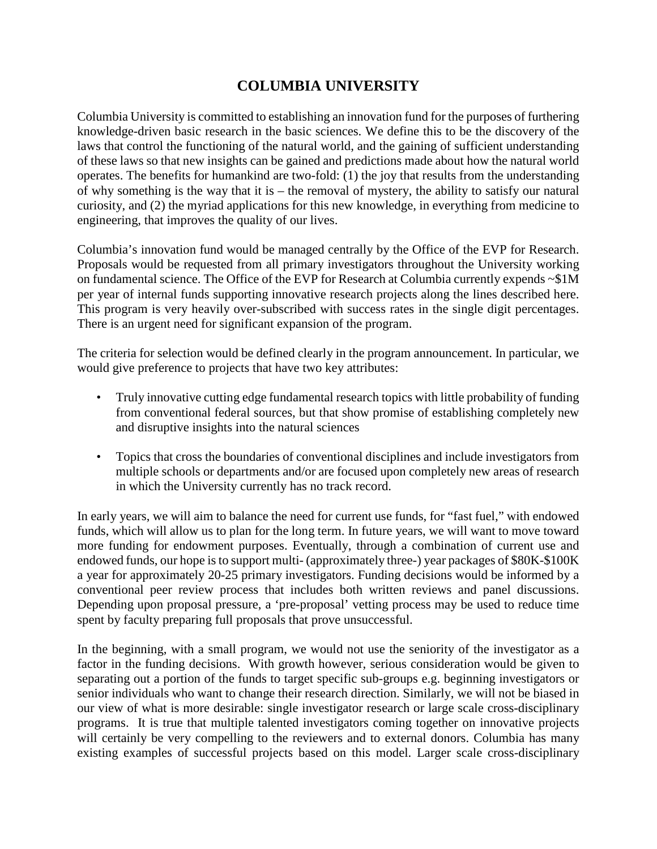## **COLUMBIA UNIVERSITY**

Columbia University is committed to establishing an innovation fund for the purposes of furthering knowledge-driven basic research in the basic sciences. We define this to be the discovery of the laws that control the functioning of the natural world, and the gaining of sufficient understanding of these laws so that new insights can be gained and predictions made about how the natural world operates. The benefits for humankind are two-fold: (1) the joy that results from the understanding of why something is the way that it is – the removal of mystery, the ability to satisfy our natural curiosity, and (2) the myriad applications for this new knowledge, in everything from medicine to engineering, that improves the quality of our lives.

Columbia's innovation fund would be managed centrally by the Office of the EVP for Research. Proposals would be requested from all primary investigators throughout the University working on fundamental science. The Office of the EVP for Research at Columbia currently expends ~\$1M per year of internal funds supporting innovative research projects along the lines described here. This program is very heavily over-subscribed with success rates in the single digit percentages. There is an urgent need for significant expansion of the program.

The criteria for selection would be defined clearly in the program announcement. In particular, we would give preference to projects that have two key attributes:

- Truly innovative cutting edge fundamental research topics with little probability of funding from conventional federal sources, but that show promise of establishing completely new and disruptive insights into the natural sciences
- Topics that cross the boundaries of conventional disciplines and include investigators from multiple schools or departments and/or are focused upon completely new areas of research in which the University currently has no track record.

In early years, we will aim to balance the need for current use funds, for "fast fuel," with endowed funds, which will allow us to plan for the long term. In future years, we will want to move toward more funding for endowment purposes. Eventually, through a combination of current use and endowed funds, our hope is to support multi- (approximately three-) year packages of \$80K-\$100K a year for approximately 20-25 primary investigators. Funding decisions would be informed by a conventional peer review process that includes both written reviews and panel discussions. Depending upon proposal pressure, a 'pre-proposal' vetting process may be used to reduce time spent by faculty preparing full proposals that prove unsuccessful.

In the beginning, with a small program, we would not use the seniority of the investigator as a factor in the funding decisions. With growth however, serious consideration would be given to separating out a portion of the funds to target specific sub-groups e.g. beginning investigators or senior individuals who want to change their research direction. Similarly, we will not be biased in our view of what is more desirable: single investigator research or large scale cross-disciplinary programs. It is true that multiple talented investigators coming together on innovative projects will certainly be very compelling to the reviewers and to external donors. Columbia has many existing examples of successful projects based on this model. Larger scale cross-disciplinary